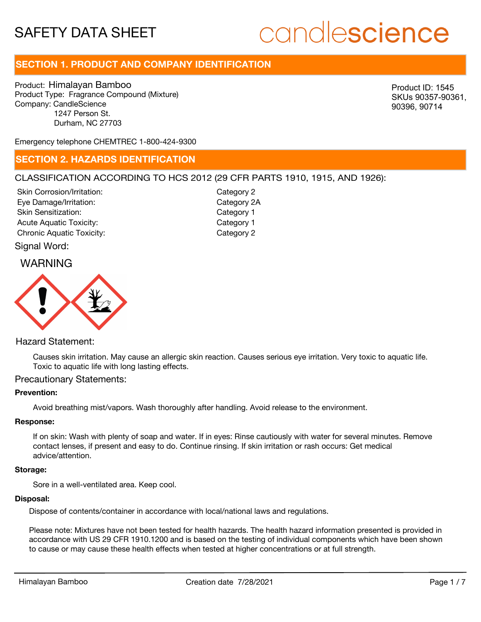# candlescience

# **SECTION 1. PRODUCT AND COMPANY IDENTIFICATION**

Product: Himalayan Bamboo Product Type: Fragrance Compound (Mixture) Company: CandleScience 1247 Person St. Durham, NC 27703

Product ID: 1545 SKUs 90357-90361, 90396, 90714

Emergency telephone CHEMTREC 1-800-424-9300

### **SECTION 2. HAZARDS IDENTIFICATION**

#### CLASSIFICATION ACCORDING TO HCS 2012 (29 CFR PARTS 1910, 1915, AND 1926):

Skin Corrosion/Irritation: Eye Damage/Irritation: Skin Sensitization: Acute Aquatic Toxicity: Category 1 Chronic Aquatic Toxicity: Chronic Aquatic Toxicity:

Category 2 Category 2A Category 1

Signal Word:

### WARNING



#### Hazard Statement:

Causes skin irritation. May cause an allergic skin reaction. Causes serious eye irritation. Very toxic to aquatic life. Toxic to aquatic life with long lasting effects.

#### Precautionary Statements:

#### **Prevention:**

Avoid breathing mist/vapors. Wash thoroughly after handling. Avoid release to the environment.

#### **Response:**

If on skin: Wash with plenty of soap and water. If in eyes: Rinse cautiously with water for several minutes. Remove contact lenses, if present and easy to do. Continue rinsing. If skin irritation or rash occurs: Get medical advice/attention.

#### **Storage:**

Sore in a well-ventilated area. Keep cool.

#### **Disposal:**

Dispose of contents/container in accordance with local/national laws and regulations.

Please note: Mixtures have not been tested for health hazards. The health hazard information presented is provided in accordance with US 29 CFR 1910.1200 and is based on the testing of individual components which have been shown to cause or may cause these health effects when tested at higher concentrations or at full strength.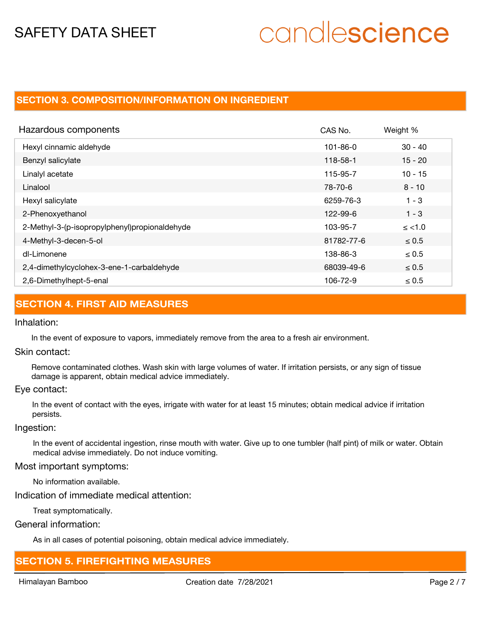# candlescience

# **SECTION 3. COMPOSITION/INFORMATION ON INGREDIENT**

| Hazardous components                          | CAS No.    | Weight %   |
|-----------------------------------------------|------------|------------|
| Hexyl cinnamic aldehyde                       | 101-86-0   | $30 - 40$  |
| Benzyl salicylate                             | 118-58-1   | $15 - 20$  |
| Linalyl acetate                               | 115-95-7   | $10 - 15$  |
| Linalool                                      | 78-70-6    | $8 - 10$   |
| Hexyl salicylate                              | 6259-76-3  | $1 - 3$    |
| 2-Phenoxyethanol                              | 122-99-6   | $1 - 3$    |
| 2-Methyl-3-(p-isopropylphenyl)propionaldehyde | 103-95-7   | $\le$ <1.0 |
| 4-Methyl-3-decen-5-ol                         | 81782-77-6 | $\leq 0.5$ |
| dl-Limonene                                   | 138-86-3   | $\leq 0.5$ |
| 2,4-dimethylcyclohex-3-ene-1-carbaldehyde     | 68039-49-6 | $\leq 0.5$ |
| 2,6-Dimethylhept-5-enal                       | 106-72-9   | $\leq 0.5$ |

### **SECTION 4. FIRST AID MEASURES**

#### Inhalation:

In the event of exposure to vapors, immediately remove from the area to a fresh air environment.

#### Skin contact:

Remove contaminated clothes. Wash skin with large volumes of water. If irritation persists, or any sign of tissue damage is apparent, obtain medical advice immediately.

#### Eye contact:

In the event of contact with the eyes, irrigate with water for at least 15 minutes; obtain medical advice if irritation persists.

#### Ingestion:

In the event of accidental ingestion, rinse mouth with water. Give up to one tumbler (half pint) of milk or water. Obtain medical advise immediately. Do not induce vomiting.

#### Most important symptoms:

No information available.

#### Indication of immediate medical attention:

Treat symptomatically.

#### General information:

As in all cases of potential poisoning, obtain medical advice immediately.

### **SECTION 5. FIREFIGHTING MEASURES**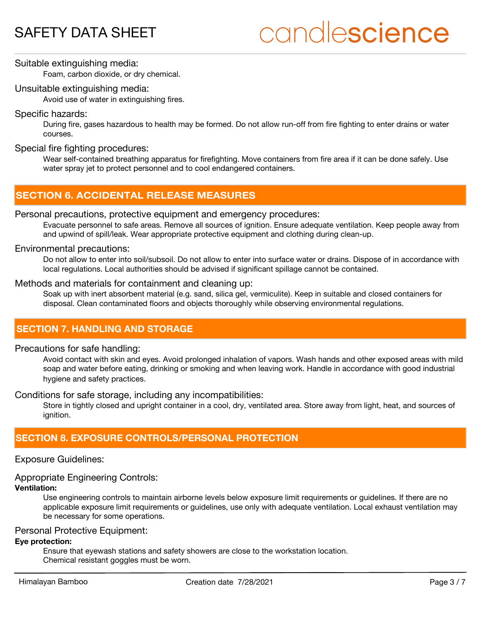# candlescience

## Suitable extinguishing media:

Foam, carbon dioxide, or dry chemical.

#### Unsuitable extinguishing media:

Avoid use of water in extinguishing fires.

#### Specific hazards:

During fire, gases hazardous to health may be formed. Do not allow run-off from fire fighting to enter drains or water courses.

#### Special fire fighting procedures:

Wear self-contained breathing apparatus for firefighting. Move containers from fire area if it can be done safely. Use water spray jet to protect personnel and to cool endangered containers.

# **SECTION 6. ACCIDENTAL RELEASE MEASURES**

#### Personal precautions, protective equipment and emergency procedures:

Evacuate personnel to safe areas. Remove all sources of ignition. Ensure adequate ventilation. Keep people away from and upwind of spill/leak. Wear appropriate protective equipment and clothing during clean-up.

#### Environmental precautions:

Do not allow to enter into soil/subsoil. Do not allow to enter into surface water or drains. Dispose of in accordance with local regulations. Local authorities should be advised if significant spillage cannot be contained.

#### Methods and materials for containment and cleaning up:

Soak up with inert absorbent material (e.g. sand, silica gel, vermiculite). Keep in suitable and closed containers for disposal. Clean contaminated floors and objects thoroughly while observing environmental regulations.

## **SECTION 7. HANDLING AND STORAGE**

#### Precautions for safe handling:

Avoid contact with skin and eyes. Avoid prolonged inhalation of vapors. Wash hands and other exposed areas with mild soap and water before eating, drinking or smoking and when leaving work. Handle in accordance with good industrial hygiene and safety practices.

#### Conditions for safe storage, including any incompatibilities:

Store in tightly closed and upright container in a cool, dry, ventilated area. Store away from light, heat, and sources of ignition.

## **SECTION 8. EXPOSURE CONTROLS/PERSONAL PROTECTION**

#### Exposure Guidelines:

### Appropriate Engineering Controls:

#### **Ventilation:**

Use engineering controls to maintain airborne levels below exposure limit requirements or guidelines. If there are no applicable exposure limit requirements or guidelines, use only with adequate ventilation. Local exhaust ventilation may be necessary for some operations.

#### Personal Protective Equipment:

#### **Eye protection:**

Ensure that eyewash stations and safety showers are close to the workstation location. Chemical resistant goggles must be worn.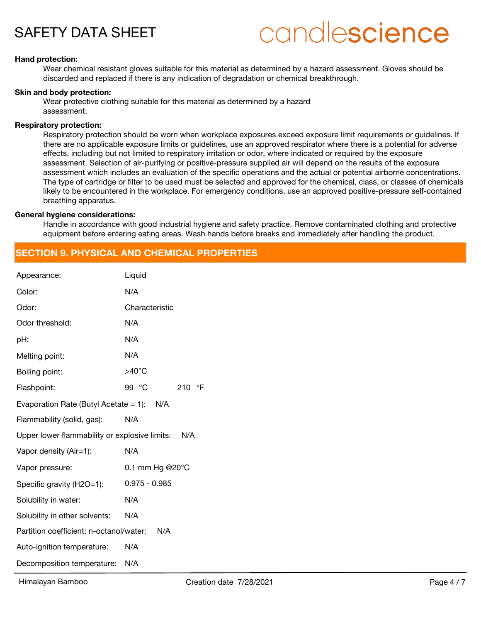# candlescience

#### **Hand protection:**

Wear chemical resistant gloves suitable for this material as determined by a hazard assessment. Gloves should be discarded and replaced if there is any indication of degradation or chemical breakthrough.

#### **Skin and body protection:**

Wear protective clothing suitable for this material as determined by a hazard assessment.

#### **Respiratory protection:**

Respiratory protection should be worn when workplace exposures exceed exposure limit requirements or guidelines. If there are no applicable exposure limits or guidelines, use an approved respirator where there is a potential for adverse effects, including but not limited to respiratory irritation or odor, where indicated or required by the exposure assessment. Selection of air-purifying or positive-pressure supplied air will depend on the results of the exposure assessment which includes an evaluation of the specific operations and the actual or potential airborne concentrations. The type of cartridge or filter to be used must be selected and approved for the chemical, class, or classes of chemicals likely to be encountered in the workplace. For emergency conditions, use an approved positive-pressure self-contained breathing apparatus.

#### **General hygiene considerations:**

Handle in accordance with good industrial hygiene and safety practice. Remove contaminated clothing and protective equipment before entering eating areas. Wash hands before breaks and immediately after handling the product.

### **SECTION 9. PHYSICAL AND CHEMICAL PROPERTIES**

| Appearance:                                          | Liquid                       |  |
|------------------------------------------------------|------------------------------|--|
| Color:                                               | N/A                          |  |
| Odor:                                                | Characteristic               |  |
| Odor threshold:                                      | N/A                          |  |
| pH:                                                  | N/A                          |  |
| Melting point:                                       | N/A                          |  |
| Boiling point:                                       | $>40^{\circ}$ C              |  |
| Flashpoint:                                          | 99 °C<br>$\mathsf{P}$<br>210 |  |
| Evaporation Rate (Butyl Acetate = 1): $N/A$          |                              |  |
| Flammability (solid, gas):                           | N/A                          |  |
| Upper lower flammability or explosive limits:<br>N/A |                              |  |
| Vapor density (Air=1):                               | N/A                          |  |
| Vapor pressure:                                      | 0.1 mm Hg @20°C              |  |
| Specific gravity (H2O=1):                            | $0.975 - 0.985$              |  |
| Solubility in water:                                 | N/A                          |  |
| Solubility in other solvents:                        | N/A                          |  |
| Partition coefficient: n-octanol/water:              | N/A                          |  |
| Auto-ignition temperature:                           | N/A                          |  |
| Decomposition temperature:                           | N/A                          |  |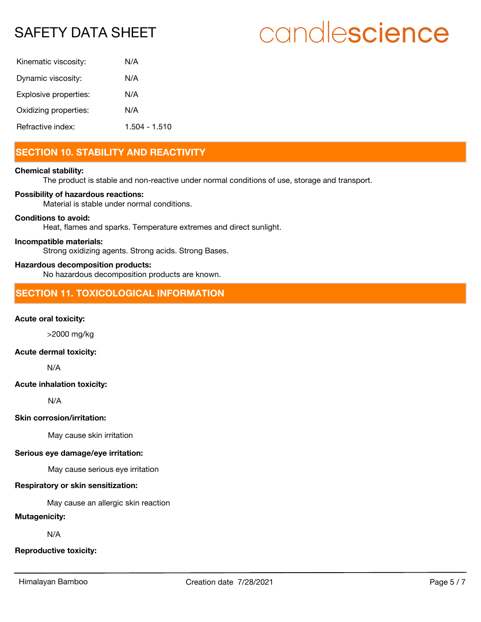# candlescience

| Kinematic viscosity:  | N/A           |
|-----------------------|---------------|
| Dynamic viscosity:    | N/A           |
| Explosive properties: | N/A           |
| Oxidizing properties: | N/A           |
| Refractive index:     | 1.504 - 1.510 |

# **SECTION 10. STABILITY AND REACTIVITY**

#### **Chemical stability:**

The product is stable and non-reactive under normal conditions of use, storage and transport.

#### **Possibility of hazardous reactions:**

Material is stable under normal conditions.

#### **Conditions to avoid:**

Heat, flames and sparks. Temperature extremes and direct sunlight.

#### **Incompatible materials:**

Strong oxidizing agents. Strong acids. Strong Bases.

#### **Hazardous decomposition products:**

No hazardous decomposition products are known.

## **SECTION 11. TOXICOLOGICAL INFORMATION**

#### **Acute oral toxicity:**

>2000 mg/kg

### **Acute dermal toxicity:**

N/A

#### **Acute inhalation toxicity:**

N/A

#### **Skin corrosion/irritation:**

May cause skin irritation

#### **Serious eye damage/eye irritation:**

May cause serious eye irritation

#### **Respiratory or skin sensitization:**

May cause an allergic skin reaction

#### **Mutagenicity:**

N/A

#### **Reproductive toxicity:**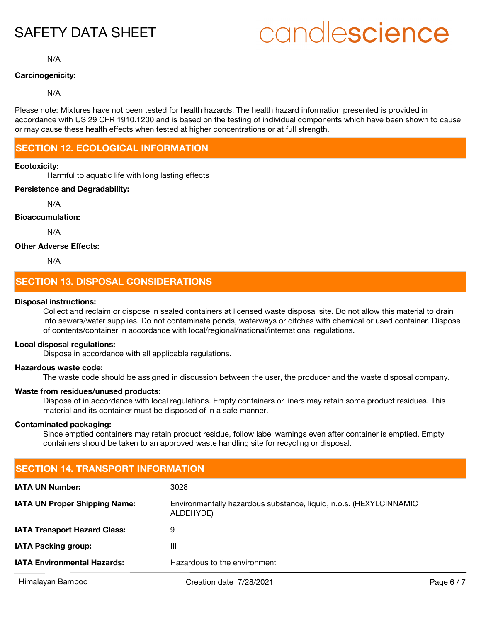# candlescience

N/A

#### **Carcinogenicity:**

#### N/A

Please note: Mixtures have not been tested for health hazards. The health hazard information presented is provided in accordance with US 29 CFR 1910.1200 and is based on the testing of individual components which have been shown to cause or may cause these health effects when tested at higher concentrations or at full strength.

# **SECTION 12. ECOLOGICAL INFORMATION**

#### **Ecotoxicity:**

Harmful to aquatic life with long lasting effects

#### **Persistence and Degradability:**

N/A

#### **Bioaccumulation:**

N/A

#### **Other Adverse Effects:**

N/A

# **SECTION 13. DISPOSAL CONSIDERATIONS**

#### **Disposal instructions:**

Collect and reclaim or dispose in sealed containers at licensed waste disposal site. Do not allow this material to drain into sewers/water supplies. Do not contaminate ponds, waterways or ditches with chemical or used container. Dispose of contents/container in accordance with local/regional/national/international regulations.

#### **Local disposal regulations:**

Dispose in accordance with all applicable regulations.

#### **Hazardous waste code:**

The waste code should be assigned in discussion between the user, the producer and the waste disposal company.

#### **Waste from residues/unused products:**

Dispose of in accordance with local regulations. Empty containers or liners may retain some product residues. This material and its container must be disposed of in a safe manner.

#### **Contaminated packaging:**

Since emptied containers may retain product residue, follow label warnings even after container is emptied. Empty containers should be taken to an approved waste handling site for recycling or disposal.

| <b>SECTION 14. TRANSPORT INFORMATION</b> |                                                                                 |            |  |
|------------------------------------------|---------------------------------------------------------------------------------|------------|--|
| <b>IATA UN Number:</b>                   | 3028                                                                            |            |  |
| <b>IATA UN Proper Shipping Name:</b>     | Environmentally hazardous substance, liquid, n.o.s. (HEXYLCINNAMIC<br>ALDEHYDE) |            |  |
| <b>IATA Transport Hazard Class:</b>      | 9                                                                               |            |  |
| <b>IATA Packing group:</b>               | Ш                                                                               |            |  |
| <b>IATA Environmental Hazards:</b>       | Hazardous to the environment                                                    |            |  |
| Himalayan Bamboo                         | Creation date 7/28/2021                                                         | Page $6/7$ |  |